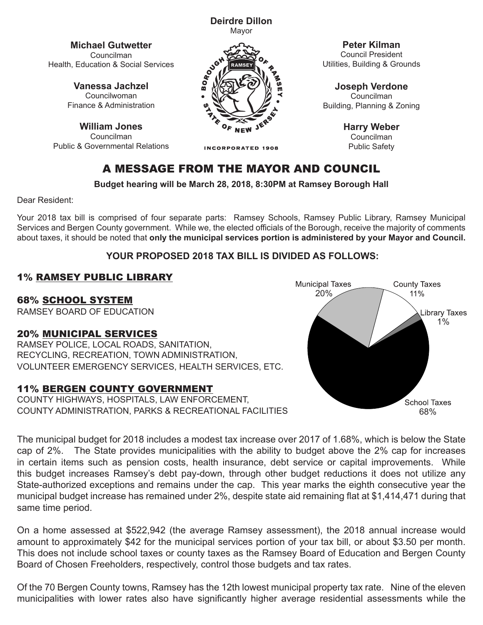**Deirdre Dillon** Mayor

**Michael Gutwetter** Councilman Health, Education & Social Services

> **Vanessa Jachzel** Councilwoman Finance & Administration

**William Jones** Councilman Public & Governmental Relations



**INCORPORATED 1908** 

**Peter Kilman**

Council President Utilities, Building & Grounds

**Joseph Verdone** Councilman Building, Planning & Zoning

> **Harry Weber** Councilman Public Safety

# A MESSAGE FROM THE MAYOR AND COUNCIL

**Budget hearing will be March 28, 2018, 8:30PM at Ramsey Borough Hall**

Dear Resident:

Your 2018 tax bill is comprised of four separate parts: Ramsey Schools, Ramsey Public Library, Ramsey Municipal Services and Bergen County government. While we, the elected officials of the Borough, receive the majority of comments about taxes, it should be noted that **only the municipal services portion is administered by your Mayor and Council.**

### **YOUR PROPOSED 2018 TAX BILL IS DIVIDED AS FOLLOWS:**

### 1% RAMSEY PUBLIC LIBRARY

68% SCHOOL SYSTEM

RAMSEY BOARD OF EDUCATION

#### 20% MUNICIPAL SERVICES

RAMSEY POLICE, LOCAL ROADS, SANITATION, RECYCLING, RECREATION, TOWN ADMINISTRATION, VOLUNTEER EMERGENCY SERVICES, HEALTH SERVICES, ETC.

#### 11% BERGEN COUNTY GOVERNMENT

COUNTY HIGHWAYS, HOSPITALS, LAW ENFORCEMENT, COUNTY ADMINISTRATION, PARKS & RECREATIONAL FACILITIES



The municipal budget for 2018 includes a modest tax increase over 2017 of 1.68%, which is below the State The municipal budget for 2018 includes a modest tax increase over 2017 of 1.68%, which is below the State<br>cap of 2%. The State provides municipalities with the ability to budget above the 2% cap for increases<br>in certain in certain items such as pension costs, health insurance, debt service or capital improvements. While this budget increases Ramsey's debt pay-down, through other budget reductions it does not utilize any State-authorized exceptions and remains under the cap. This year marks the eighth consecutive year the municipal budget increase has remained under 2%, despite state aid remaining flat at \$1,414,471 during that same time period.

On a home assessed at \$522,942 (the average Ramsey assessment), the 2018 annual increase would amount to approximately \$42 for the municipal services portion of your tax bill, or about \$3.50 per month. This does not include school taxes or county taxes as the Ramsey Board of Education and Bergen County Board of Chosen Freeholders, respectively, control those budgets and tax rates.

Of the 70 Bergen County towns, Ramsey has the 12th lowest municipal property tax rate. Nine of the eleven municipalities with lower rates also have significantly higher average residential assessments while the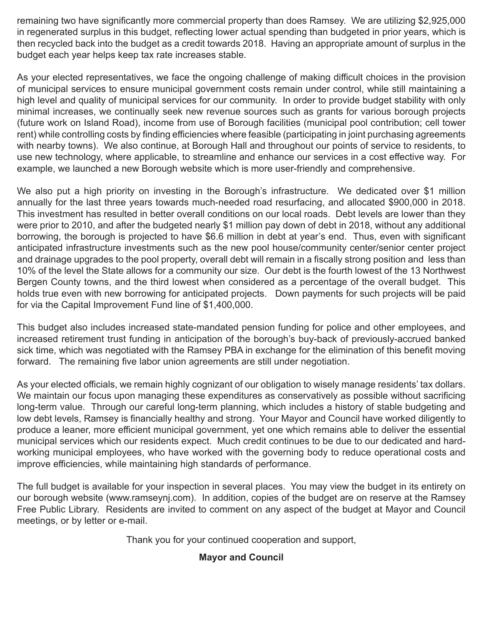remaining two have significantly more commercial property than does Ramsey. We are utilizing \$2,925,000 in regenerated surplus in this budget, reflecting lower actual spending than budgeted in prior years, which is then recycled back into the budget as a credit towards 2018. Having an appropriate amount of surplus in the budget each year helps keep tax rate increases stable.

As your elected representatives, we face the ongoing challenge of making difficult choices in the provision of municipal services to ensure municipal government costs remain under control, while still maintaining a high level and quality of municipal services for our community. In order to provide budget stability with only minimal increases, we continually seek new revenue sources such as grants for various borough projects (future work on Island Road), income from use of Borough facilities (municipal pool contribution; cell tower rent) while controlling costs by finding efficiencies where feasible (participating in joint purchasing agreements with nearby towns). We also continue, at Borough Hall and throughout our points of service to residents, to use new technology, where applicable, to streamline and enhance our services in a cost effective way. For example, we launched a new Borough website which is more user-friendly and comprehensive.

We also put a high priority on investing in the Borough's infrastructure. We dedicated over \$1 million annually for the last three years towards much-needed road resurfacing, and allocated \$900,000 in 2018. This investment has resulted in better overall conditions on our local roads. Debt levels are lower than they were prior to 2010, and after the budgeted nearly \$1 million pay down of debt in 2018, without any additional borrowing, the borough is projected to have \$6.6 million in debt at year's end. Thus, even with significant anticipated infrastructure investments such as the new pool house/community center/senior center project and drainage upgrades to the pool property, overall debt will remain in a fiscally strong position and less than 10% of the level the State allows for a community our size. Our debt is the fourth lowest of the 13 Northwest Bergen County towns, and the third lowest when considered as a percentage of the overall budget. This holds true even with new borrowing for anticipated projects. Down payments for such projects will be paid for via the Capital Improvement Fund line of \$1,400,000.

This budget also includes increased state-mandated pension funding for police and other employees, and increased retirement trust funding in anticipation of the borough's buy-back of previously-accrued banked sick time, which was negotiated with the Ramsey PBA in exchange for the elimination of this benefit moving forward. The remaining five labor union agreements are still under negotiation.

As your elected officials, we remain highly cognizant of our obligation to wisely manage residents' tax dollars. We maintain our focus upon managing these expenditures as conservatively as possible without sacrificing long-term value. Through our careful long-term planning, which includes a history of stable budgeting and low debt levels, Ramsey is financially healthy and strong. Your Mayor and Council have worked diligently to produce a leaner, more efficient municipal government, yet one which remains able to deliver the essential municipal services which our residents expect. Much credit continues to be due to our dedicated and hardworking municipal employees, who have worked with the governing body to reduce operational costs and improve efficiencies, while maintaining high standards of performance.

The full budget is available for your inspection in several places. You may view the budget in its entirety on our borough website (www.ramseynj.com). In addition, copies of the budget are on reserve at the Ramsey Free Public Library. Residents are invited to comment on any aspect of the budget at Mayor and Council meetings, or by letter or e-mail.

Thank you for your continued cooperation and support,

#### **Mayor and Council**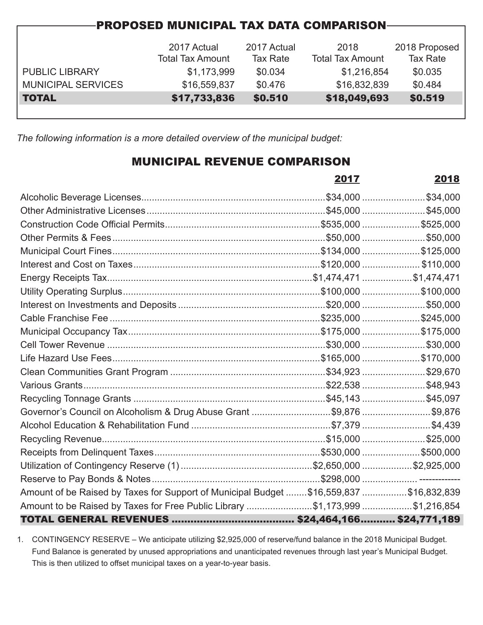| <b>PROPOSED MUNICIPAL TAX DATA COMPARISON</b> |                         |                 |                         |                 |  |  |  |  |
|-----------------------------------------------|-------------------------|-----------------|-------------------------|-----------------|--|--|--|--|
|                                               |                         |                 |                         |                 |  |  |  |  |
|                                               | 2017 Actual             | 2017 Actual     | 2018                    | 2018 Proposed   |  |  |  |  |
|                                               | <b>Total Tax Amount</b> | <b>Tax Rate</b> | <b>Total Tax Amount</b> | <b>Tax Rate</b> |  |  |  |  |
| <b>PUBLIC LIBRARY</b>                         | \$1,173,999             | \$0.034         | \$1,216,854             | \$0.035         |  |  |  |  |
| <b>MUNICIPAL SERVICES</b>                     | \$16,559,837            | \$0.476         | \$16,832,839            | \$0.484         |  |  |  |  |
| <b>TOTAL</b>                                  | \$17,733,836            | \$0.510         | \$18,049,693            | \$0.519         |  |  |  |  |
|                                               |                         |                 |                         |                 |  |  |  |  |

*The following information is a more detailed overview of the municipal budget:*

# MUNICIPAL REVENUE COMPARISON

|                                                                                        | 2017 | 2018 |
|----------------------------------------------------------------------------------------|------|------|
|                                                                                        |      |      |
|                                                                                        |      |      |
|                                                                                        |      |      |
|                                                                                        |      |      |
|                                                                                        |      |      |
|                                                                                        |      |      |
|                                                                                        |      |      |
|                                                                                        |      |      |
|                                                                                        |      |      |
|                                                                                        |      |      |
|                                                                                        |      |      |
|                                                                                        |      |      |
|                                                                                        |      |      |
|                                                                                        |      |      |
|                                                                                        |      |      |
|                                                                                        |      |      |
| Governor's Council on Alcoholism & Drug Abuse Grant \$9,876 \$9,876                    |      |      |
|                                                                                        |      |      |
|                                                                                        |      |      |
|                                                                                        |      |      |
|                                                                                        |      |      |
|                                                                                        |      |      |
| Amount of be Raised by Taxes for Support of Municipal Budget \$16,559,837 \$16,832,839 |      |      |
| Amount to be Raised by Taxes for Free Public Library \$1,173,999 \$1,216,854           |      |      |
|                                                                                        |      |      |

1. CONTINGENCY RESERVE – We anticipate utilizing \$2,925,000 of reserve/fund balance in the 2018 Municipal Budget. Fund Balance is generated by unused appropriations and unanticipated revenues through last year's Municipal Budget. This is then utilized to offset municipal taxes on a year-to-year basis.